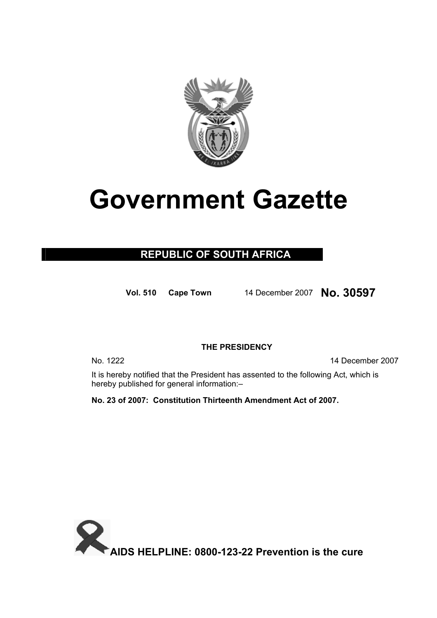

# **Government Gazette**

### **REPUBLIC OF SOUTH AFRICA**

**Vol. 510 Cape Town** 1<sup>4</sup> December<sup>2007</sup> **No. 30597**

#### **THE PRESIDENCY**

No. 1222 14 December 2007

It is hereby notified that the President has assented to the following Act, which is hereby published for general information:–

**No. 23 of 2007: Constitution Thirteenth Amendment Act of 2007.**